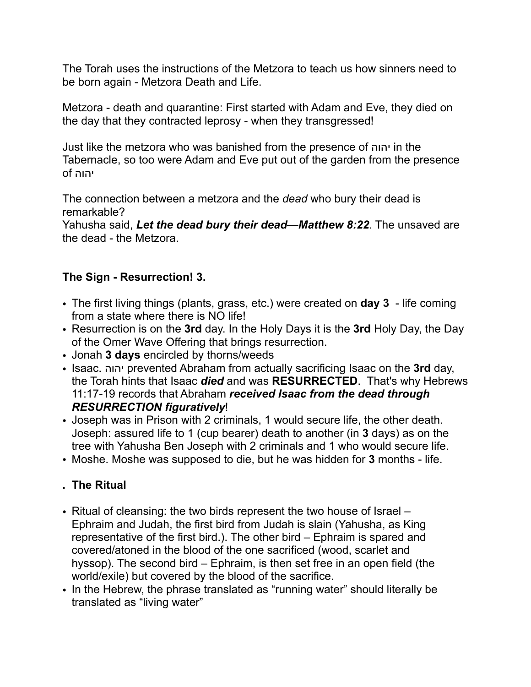The Torah uses the instructions of the Metzora to teach us how sinners need to be born again - Metzora Death and Life.

Metzora - death and quarantine: First started with Adam and Eve, they died on the day that they contracted leprosy - when they transgressed!

Just like the metzora who was banished from the presence of יהוה in the Tabernacle, so too were Adam and Eve put out of the garden from the presence יהוה of

The connection between a metzora and the *dead* who bury their dead is remarkable?

Yahusha said, *Let the dead bury their dead—Matthew 8:22*. The unsaved are the dead - the Metzora.

## **The Sign - Resurrection! 3.**

- The first living things (plants, grass, etc.) were created on **day 3**  life coming from a state where there is NO life!
- Resurrection is on the **3rd** day. In the Holy Days it is the **3rd** Holy Day, the Day of the Omer Wave Offering that brings resurrection.
- Jonah **3 days** encircled by thorns/weeds
- Isaac. יהוה prevented Abraham from actually sacrificing Isaac on the **3rd** day, the Torah hints that Isaac *died* and was **RESURRECTED**. That's why Hebrews 11:17-19 records that Abraham *received Isaac from the dead through RESURRECTION figuratively*!
- Joseph was in Prison with 2 criminals, 1 would secure life, the other death. Joseph: assured life to 1 (cup bearer) death to another (in **3** days) as on the tree with Yahusha Ben Joseph with 2 criminals and 1 who would secure life.
- Moshe. Moshe was supposed to die, but he was hidden for **3** months life.

## **. The Ritual**

- Ritual of cleansing: the two birds represent the two house of Israel Ephraim and Judah, the first bird from Judah is slain (Yahusha, as King representative of the first bird.). The other bird – Ephraim is spared and covered/atoned in the blood of the one sacrificed (wood, scarlet and hyssop). The second bird – Ephraim, is then set free in an open field (the world/exile) but covered by the blood of the sacrifice.
- In the Hebrew, the phrase translated as "running water" should literally be translated as "living water"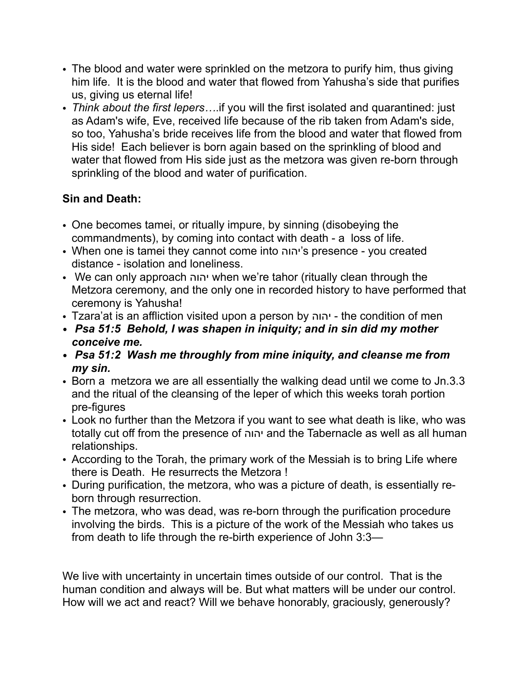- The blood and water were sprinkled on the metzora to purify him, thus giving him life. It is the blood and water that flowed from Yahusha's side that purifies us, giving us eternal life!
- *Think about the first lepers…*.if you will the first isolated and quarantined: just as Adam's wife, Eve, received life because of the rib taken from Adam's side, so too, Yahusha's bride receives life from the blood and water that flowed from His side! Each believer is born again based on the sprinkling of blood and water that flowed from His side just as the metzora was given re-born through sprinkling of the blood and water of purification.

# **Sin and Death:**

- One becomes tamei, or ritually impure, by sinning (disobeying the commandments), by coming into contact with death - a loss of life.
- When one is tamei they cannot come into יהוה's presence you created distance - isolation and loneliness.
- We can only approach יהוה when we're tahor (ritually clean through the Metzora ceremony, and the only one in recorded history to have performed that ceremony is Yahusha!
- Tzara'at is an affliction visited upon a person by יהוה the condition of men
- *• [Psa 51:5](verseid:19.51.5) Behold, I was shapen in iniquity; and in sin did my mother conceive me.*
- *• [Psa 51:2](verseid:19.51.2) Wash me throughly from mine iniquity, and cleanse me from my sin.*
- Born a metzora we are all essentially the walking dead until we come to Jn.3.3 and the ritual of the cleansing of the leper of which this weeks torah portion pre-figures
- Look no further than the Metzora if you want to see what death is like, who was totally cut off from the presence of יהוה and the Tabernacle as well as all human relationships.
- According to the Torah, the primary work of the Messiah is to bring Life where there is Death. He resurrects the Metzora !
- During purification, the metzora, who was a picture of death, is essentially reborn through resurrection.
- The metzora, who was dead, was re-born through the purification procedure involving the birds. This is a picture of the work of the Messiah who takes us from death to life through the re-birth experience of John 3:3—

We live with uncertainty in uncertain times outside of our control. That is the human condition and always will be. But what matters will be under our control. How will we act and react? Will we behave honorably, graciously, generously?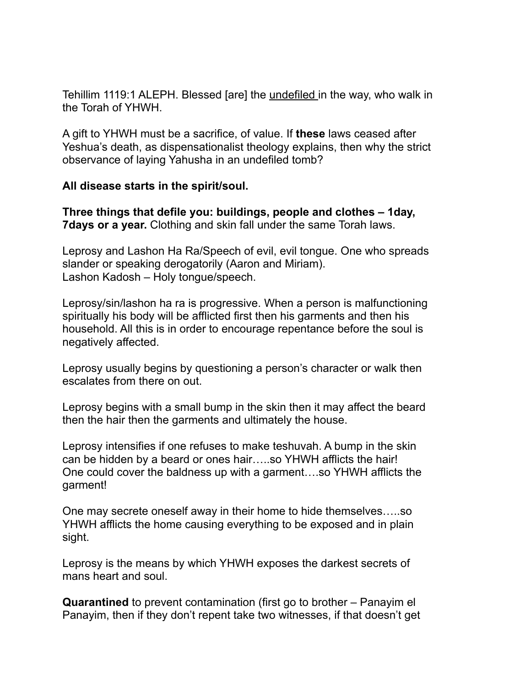Tehillim 1119:1 ALEPH. Blessed [are] the undefiled in the way, who walk in the Torah of YHWH.

A gift to YHWH must be a sacrifice, of value. If **these** laws ceased after Yeshua's death, as dispensationalist theology explains, then why the strict observance of laying Yahusha in an undefiled tomb?

#### **All disease starts in the spirit/soul.**

**Three things that defile you: buildings, people and clothes – 1day, 7days or a year.** Clothing and skin fall under the same Torah laws.

Leprosy and Lashon Ha Ra/Speech of evil, evil tongue. One who spreads slander or speaking derogatorily (Aaron and Miriam). Lashon Kadosh – Holy tongue/speech.

Leprosy/sin/lashon ha ra is progressive. When a person is malfunctioning spiritually his body will be afflicted first then his garments and then his household. All this is in order to encourage repentance before the soul is negatively affected.

Leprosy usually begins by questioning a person's character or walk then escalates from there on out.

Leprosy begins with a small bump in the skin then it may affect the beard then the hair then the garments and ultimately the house.

Leprosy intensifies if one refuses to make teshuvah. A bump in the skin can be hidden by a beard or ones hair…..so YHWH afflicts the hair! One could cover the baldness up with a garment….so YHWH afflicts the garment!

One may secrete oneself away in their home to hide themselves…..so YHWH afflicts the home causing everything to be exposed and in plain sight.

Leprosy is the means by which YHWH exposes the darkest secrets of mans heart and soul.

**Quarantined** to prevent contamination (first go to brother – Panayim el Panayim, then if they don't repent take two witnesses, if that doesn't get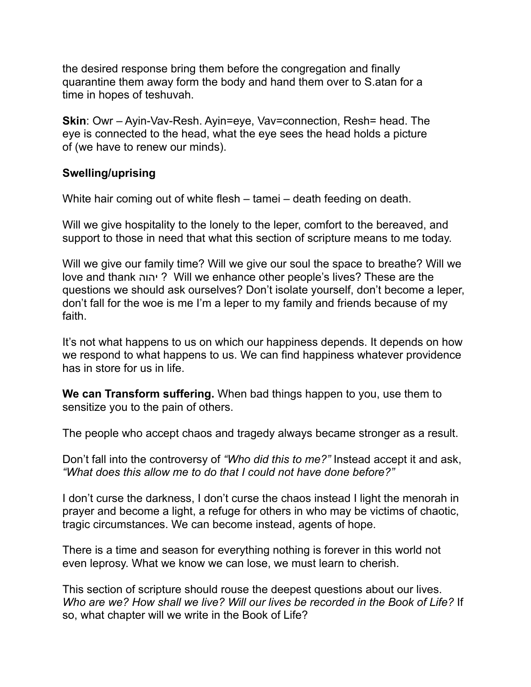the desired response bring them before the congregation and finally quarantine them away form the body and hand them over to S.atan for a time in hopes of teshuvah.

**Skin**: Owr – Ayin-Vav-Resh. Ayin=eye, Vav=connection, Resh= head. The eye is connected to the head, what the eye sees the head holds a picture of (we have to renew our minds).

### **Swelling/uprising**

White hair coming out of white flesh – tamei – death feeding on death.

Will we give hospitality to the lonely to the leper, comfort to the bereaved, and support to those in need that what this section of scripture means to me today.

Will we give our family time? Will we give our soul the space to breathe? Will we love and thank יהוה ? Will we enhance other people's lives? These are the questions we should ask ourselves? Don't isolate yourself, don't become a leper, don't fall for the woe is me I'm a leper to my family and friends because of my faith.

It's not what happens to us on which our happiness depends. It depends on how we respond to what happens to us. We can find happiness whatever providence has in store for us in life.

**We can Transform suffering.** When bad things happen to you, use them to sensitize you to the pain of others.

The people who accept chaos and tragedy always became stronger as a result.

Don't fall into the controversy of *"Who did this to me?"* Instead accept it and ask, *"What does this allow me to do that I could not have done before?"*

I don't curse the darkness, I don't curse the chaos instead I light the menorah in prayer and become a light, a refuge for others in who may be victims of chaotic, tragic circumstances. We can become instead, agents of hope.

There is a time and season for everything nothing is forever in this world not even leprosy. What we know we can lose, we must learn to cherish.

This section of scripture should rouse the deepest questions about our lives. *Who are we? How shall we live? Will our lives be recorded in the Book of Life?* If so, what chapter will we write in the Book of Life?